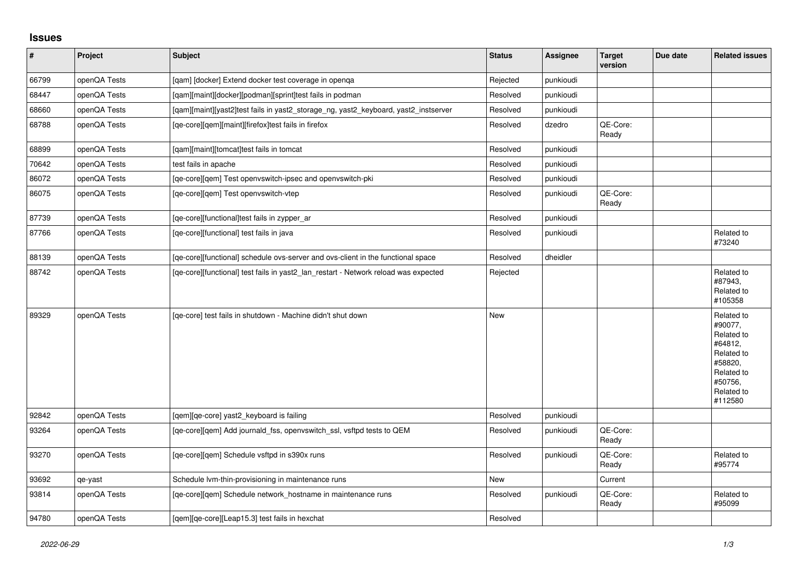## **Issues**

| $\vert$ # | Project      | Subject                                                                             | <b>Status</b> | <b>Assignee</b> | <b>Target</b><br>version | Due date | <b>Related issues</b>                                                                                                     |
|-----------|--------------|-------------------------------------------------------------------------------------|---------------|-----------------|--------------------------|----------|---------------------------------------------------------------------------------------------------------------------------|
| 66799     | openQA Tests | [gam] [docker] Extend docker test coverage in openga                                | Rejected      | punkioudi       |                          |          |                                                                                                                           |
| 68447     | openQA Tests | [qam][maint][docker][podman][sprint]test fails in podman                            | Resolved      | punkioudi       |                          |          |                                                                                                                           |
| 68660     | openQA Tests | [qam][maint][yast2]test fails in yast2_storage_ng, yast2_keyboard, yast2_instserver | Resolved      | punkioudi       |                          |          |                                                                                                                           |
| 68788     | openQA Tests | [qe-core][qem][maint][firefox]test fails in firefox                                 | Resolved      | dzedro          | QE-Core:<br>Ready        |          |                                                                                                                           |
| 68899     | openQA Tests | [qam][maint][tomcat]test fails in tomcat                                            | Resolved      | punkioudi       |                          |          |                                                                                                                           |
| 70642     | openQA Tests | test fails in apache                                                                | Resolved      | punkioudi       |                          |          |                                                                                                                           |
| 86072     | openQA Tests | [qe-core][qem] Test openvswitch-ipsec and openvswitch-pki                           | Resolved      | punkioudi       |                          |          |                                                                                                                           |
| 86075     | openQA Tests | [qe-core][qem] Test openvswitch-vtep                                                | Resolved      | punkioudi       | QE-Core:<br>Ready        |          |                                                                                                                           |
| 87739     | openQA Tests | [qe-core][functional]test fails in zypper_ar                                        | Resolved      | punkioudi       |                          |          |                                                                                                                           |
| 87766     | openQA Tests | [qe-core][functional] test fails in java                                            | Resolved      | punkioudi       |                          |          | Related to<br>#73240                                                                                                      |
| 88139     | openQA Tests | [ge-core][functional] schedule ovs-server and ovs-client in the functional space    | Resolved      | dheidler        |                          |          |                                                                                                                           |
| 88742     | openQA Tests | [ge-core][functional] test fails in yast2 lan restart - Network reload was expected | Rejected      |                 |                          |          | Related to<br>#87943,<br>Related to<br>#105358                                                                            |
| 89329     | openQA Tests | [qe-core] test fails in shutdown - Machine didn't shut down                         | New           |                 |                          |          | Related to<br>#90077.<br>Related to<br>#64812,<br>Related to<br>#58820,<br>Related to<br>#50756,<br>Related to<br>#112580 |
| 92842     | openQA Tests | [qem][qe-core] yast2_keyboard is failing                                            | Resolved      | punkioudi       |                          |          |                                                                                                                           |
| 93264     | openQA Tests | [ge-core][gem] Add journald fss, openyswitch ssl, vsftpd tests to QEM               | Resolved      | punkioudi       | QE-Core:<br>Ready        |          |                                                                                                                           |
| 93270     | openQA Tests | [qe-core][qem] Schedule vsftpd in s390x runs                                        | Resolved      | punkioudi       | QE-Core:<br>Ready        |          | Related to<br>#95774                                                                                                      |
| 93692     | qe-yast      | Schedule Ivm-thin-provisioning in maintenance runs                                  | New           |                 | Current                  |          |                                                                                                                           |
| 93814     | openQA Tests | [ge-core][gem] Schedule network hostname in maintenance runs                        | Resolved      | punkioudi       | QE-Core:<br>Ready        |          | Related to<br>#95099                                                                                                      |
| 94780     | openQA Tests | [gem][ge-core][Leap15.3] test fails in hexchat                                      | Resolved      |                 |                          |          |                                                                                                                           |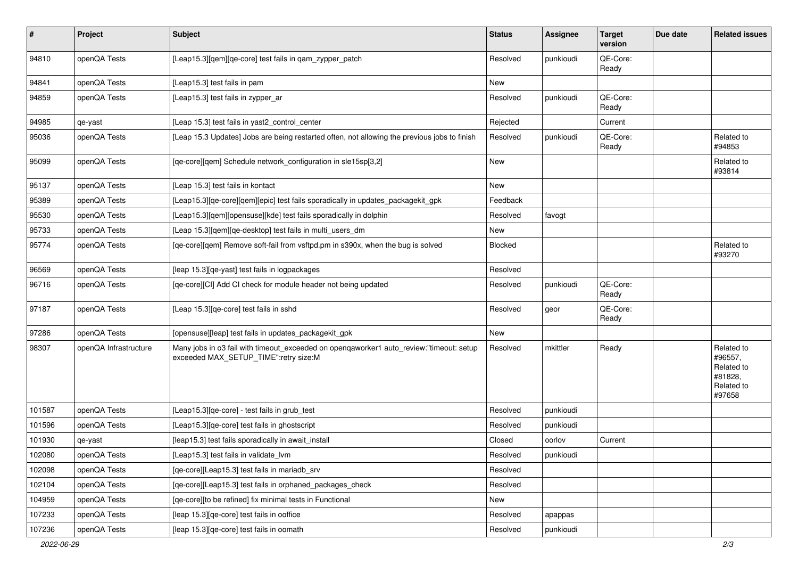| $\vert$ # | Project               | <b>Subject</b>                                                                                                                   | <b>Status</b>  | Assignee  | <b>Target</b><br>version | Due date | <b>Related issues</b>                                                  |
|-----------|-----------------------|----------------------------------------------------------------------------------------------------------------------------------|----------------|-----------|--------------------------|----------|------------------------------------------------------------------------|
| 94810     | openQA Tests          | [Leap15.3][qem][qe-core] test fails in qam_zypper_patch                                                                          | Resolved       | punkioudi | QE-Core:<br>Ready        |          |                                                                        |
| 94841     | openQA Tests          | [Leap15.3] test fails in pam                                                                                                     | New            |           |                          |          |                                                                        |
| 94859     | openQA Tests          | [Leap15.3] test fails in zypper_ar                                                                                               | Resolved       | punkioudi | QE-Core:<br>Ready        |          |                                                                        |
| 94985     | qe-yast               | [Leap 15.3] test fails in yast2_control_center                                                                                   | Rejected       |           | Current                  |          |                                                                        |
| 95036     | openQA Tests          | [Leap 15.3 Updates] Jobs are being restarted often, not allowing the previous jobs to finish                                     | Resolved       | punkioudi | QE-Core:<br>Ready        |          | Related to<br>#94853                                                   |
| 95099     | openQA Tests          | [qe-core][qem] Schedule network_configuration in sle15sp[3,2]                                                                    | New            |           |                          |          | Related to<br>#93814                                                   |
| 95137     | openQA Tests          | [Leap 15.3] test fails in kontact                                                                                                | New            |           |                          |          |                                                                        |
| 95389     | openQA Tests          | [Leap15.3][qe-core][qem][epic] test fails sporadically in updates_packagekit_gpk                                                 | Feedback       |           |                          |          |                                                                        |
| 95530     | openQA Tests          | [Leap15.3][qem][opensuse][kde] test fails sporadically in dolphin                                                                | Resolved       | favogt    |                          |          |                                                                        |
| 95733     | openQA Tests          | [Leap 15.3][qem][qe-desktop] test fails in multi_users_dm                                                                        | New            |           |                          |          |                                                                        |
| 95774     | openQA Tests          | [qe-core][qem] Remove soft-fail from vsftpd.pm in s390x, when the bug is solved                                                  | <b>Blocked</b> |           |                          |          | Related to<br>#93270                                                   |
| 96569     | openQA Tests          | [leap 15.3][qe-yast] test fails in logpackages                                                                                   | Resolved       |           |                          |          |                                                                        |
| 96716     | openQA Tests          | [qe-core][CI] Add CI check for module header not being updated                                                                   | Resolved       | punkioudi | QE-Core:<br>Ready        |          |                                                                        |
| 97187     | openQA Tests          | [Leap 15.3][qe-core] test fails in sshd                                                                                          | Resolved       | geor      | QE-Core:<br>Ready        |          |                                                                        |
| 97286     | openQA Tests          | [opensuse][leap] test fails in updates_packagekit_gpk                                                                            | New            |           |                          |          |                                                                        |
| 98307     | openQA Infrastructure | Many jobs in o3 fail with timeout_exceeded on openqaworker1 auto_review:"timeout: setup<br>exceeded MAX_SETUP_TIME":retry size:M | Resolved       | mkittler  | Ready                    |          | Related to<br>#96557,<br>Related to<br>#81828,<br>Related to<br>#97658 |
| 101587    | openQA Tests          | [Leap15.3][qe-core] - test fails in grub_test                                                                                    | Resolved       | punkioudi |                          |          |                                                                        |
| 101596    | openQA Tests          | [Leap15.3] [qe-core] test fails in ghostscript                                                                                   | Resolved       | punkioudi |                          |          |                                                                        |
| 101930    | qe-yast               | [leap15.3] test fails sporadically in await_install                                                                              | Closed         | oorlov    | Current                  |          |                                                                        |
| 102080    | openQA Tests          | [Leap15.3] test fails in validate_lvm                                                                                            | Resolved       | punkioudi |                          |          |                                                                        |
| 102098    | openQA Tests          | [ge-core][Leap15.3] test fails in mariadb srv                                                                                    | Resolved       |           |                          |          |                                                                        |
| 102104    | openQA Tests          | [qe-core][Leap15.3] test fails in orphaned_packages_check                                                                        | Resolved       |           |                          |          |                                                                        |
| 104959    | openQA Tests          | [qe-core][to be refined] fix minimal tests in Functional                                                                         | New            |           |                          |          |                                                                        |
| 107233    | openQA Tests          | [leap 15.3][qe-core] test fails in ooffice                                                                                       | Resolved       | apappas   |                          |          |                                                                        |
| 107236    | openQA Tests          | [leap 15.3][qe-core] test fails in oomath                                                                                        | Resolved       | punkioudi |                          |          |                                                                        |